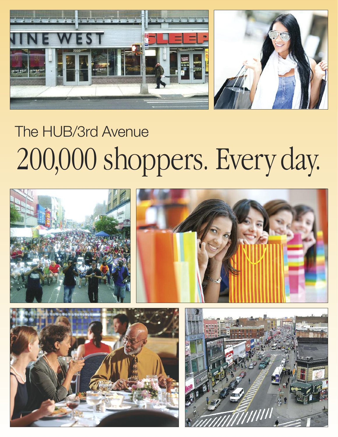

# The HUB/3rd Avenue 200,000 shoppers. Every day.





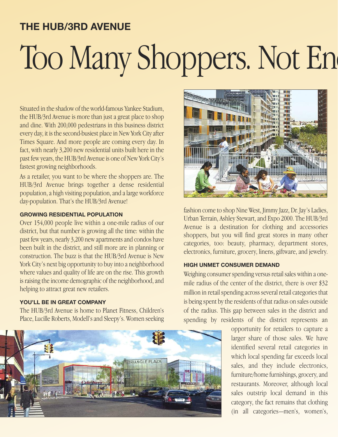# **THE HUB/3RD AVENUE** Too Many Shoppers. Not En

Situated in the shadow of the world-famous Yankee Stadium, the HUB/3rd Avenue is more than just a great place to shop and dine. With 200,000 pedestrians in this business district every day, it is the second-busiest place in New York Cityafter Times Square. And more people are coming every day. In fact, with nearly 3,200 new residential units built here in the past few years, the HUB/3rd Avenue is one of New York City's fastest growing neighborhoods.

As a retailer, you want to be where the shoppers are. The HUB/3rd Avenue brings together a dense residential population,a high visiting population,and alarge workforce day-population. That's the HUB/3rd Avenue!

#### **GROWING RESIDENTIAL POPULATION**

Over 154,000 people live within a one-mile radius of our district, but that number is growing all the time: within the past few years, nearly 3,200 new apartments and condos have been built in the district, and still more are in planning or construction. The buzz is that the HUB/3rd Avenue is New York City's next big opportunity to buy into a neighborhood where values and quality of life are on the rise. This growth is raising the income demographic of the neighborhood, and helping to attract great new retailers.

### **YOU'LL BE IN GREAT COMPANY**

The HUB/3rd Avenue is home to Planet Fitness, Children's Place,Lucille Roberts, Modell'sand Sleepy's.Women seeking





fashion come to shop Nine West, Jimmy Jazz, Dr. Jay's Ladies, Urban Terrain, Ashley Stewart, and Expo 2000. The HUB/3rd Avenue is a destination for clothing and accessories shoppers, but you will find great stores in many other categories, too: beauty, pharmacy, department stores, electronics, furniture, grocery, linens, giftware, and jewelry.

#### **HIGH UNMET CONSUMER DEMAND**

Weighing consumer spending versus retail sales within a onemile radius of the center of the district, there is over \$32 million in retail spending across several retail categories that is being spent by the residents of that radius on sales outside of the radius. This gap between sales in the district and spending by residents of the district represents an

> opportunity for retailers to capture a larger share of those sales. We have identified several retail categories in which local spending far exceeds local sales, and they include electronics, furniture/home furnishings, grocery, and restaurants. Moreover, although local sales outstrip local demand in this category, the fact remains that clothing (in all categories—men's, women's,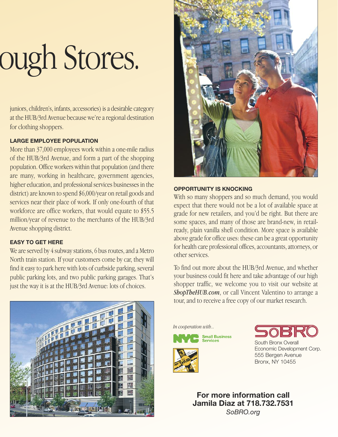# ough Stores.

juniors, children's, infants, accessories) is a desirable category at the HUB/3rd Avenue because we're aregional destination for clothing shoppers.

# **LARGE EMPLOYEE POPULATION**

More than 37,000 employees work within a one-mile radius of the HUB/3rd Avenue, and form a part of the shopping population. Office workers within that population (and there are many, working in healthcare, government agencies, higher education, and professional services businesses in the district) are known to spend \$6,000/year on retail goods and services near their place of work. If only one-fourth of that workforce are office workers, that would equate to \$55.5 million/year of revenue to the merchants of the HUB/3rd Avenue shopping district.

# **EASY TO GET HERE**

We are served by 4 subway stations, 6 bus routes, and a Metro North train station. If your customers come by car, they will find it easy to park here with lots of curbside parking, several public parking lots, and two public parking garages. That's just the way it is at the HUB/3rd Avenue: lots of choices.



# **OPPORTUNITY IS KNOCKING**

With so many shoppers and so much demand, you would expect that there would not be a lot of available space at grade for new retailers, and you'd be right. But there are some spaces, and many of those are brand-new, in retailready, plain vanilla shell condition. More space is available above grade for office uses: these can be a great opportunity for health care professional offices, accountants, attorneys, or other services.

To find out more about the HUB/3rd Avenue, and whether your business could fit here and take advantage of our high shopper traffic, we welcome you to visit our website at *ShopTheHUB.com*, or call Vincent Valentino to arrange a tour, and to receive a free copy of our market research.



*In cooperation with...*





South Bronx Overal Economic Development Corp. 555 Bergen Avenue Bronx, NY 10455

**For more information call Jamila Diaz at 718.732.7531** *SoBRO.org*